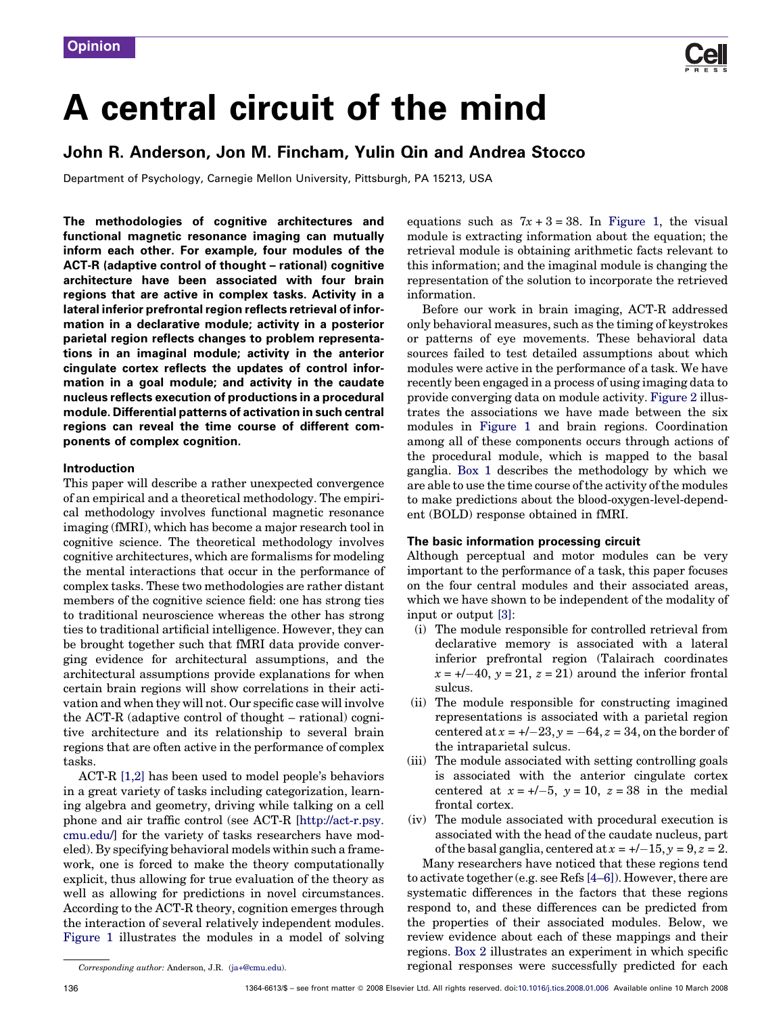

# A central circuit of the mind

# John R. Anderson, Jon M. Fincham, Yulin Qin and Andrea Stocco

Department of Psychology, Carnegie Mellon University, Pittsburgh, PA 15213, USA

The methodologies of cognitive architectures and functional magnetic resonance imaging can mutually inform each other. For example, four modules of the ACT-R (adaptive control of thought – rational) cognitive architecture have been associated with four brain regions that are active in complex tasks. Activity in a lateral inferior prefrontal region reflects retrieval of information in a declarative module; activity in a posterior parietal region reflects changes to problem representations in an imaginal module; activity in the anterior cingulate cortex reflects the updates of control information in a goal module; and activity in the caudate nucleus reflects execution of productions in a procedural module. Differential patterns of activation in such central regions can reveal the time course of different components of complex cognition.

#### Introduction

This paper will describe a rather unexpected convergence of an empirical and a theoretical methodology. The empirical methodology involves functional magnetic resonance imaging (fMRI), which has become a major research tool in cognitive science. The theoretical methodology involves cognitive architectures, which are formalisms for modeling the mental interactions that occur in the performance of complex tasks. These two methodologies are rather distant members of the cognitive science field: one has strong ties to traditional neuroscience whereas the other has strong ties to traditional artificial intelligence. However, they can be brought together such that fMRI data provide converging evidence for architectural assumptions, and the architectural assumptions provide explanations for when certain brain regions will show correlations in their activation and when they will not. Our specific case will involve the ACT-R (adaptive control of thought – rational) cognitive architecture and its relationship to several brain regions that are often active in the performance of complex tasks.

ACT-R [\[1,2\]](#page-6-0) has been used to model people's behaviors in a great variety of tasks including categorization, learning algebra and geometry, driving while talking on a cell phone and air traffic control (see ACT-R [\[http://act-r.psy.](http://act-r.psy.cmu.edu/) [cmu.edu/\]](http://act-r.psy.cmu.edu/) for the variety of tasks researchers have modeled). By specifying behavioral models within such a framework, one is forced to make the theory computationally explicit, thus allowing for true evaluation of the theory as well as allowing for predictions in novel circumstances. According to the ACT-R theory, cognition emerges through the interaction of several relatively independent modules. [Figure 1](#page-1-0) illustrates the modules in a model of solving equations such as  $7x + 3 = 38$ . In [Figure 1,](#page-1-0) the visual module is extracting information about the equation; the retrieval module is obtaining arithmetic facts relevant to this information; and the imaginal module is changing the representation of the solution to incorporate the retrieved information.

Before our work in brain imaging, ACT-R addressed only behavioral measures, such as the timing of keystrokes or patterns of eye movements. These behavioral data sources failed to test detailed assumptions about which modules were active in the performance of a task. We have recently been engaged in a process of using imaging data to provide converging data on module activity. [Figure 2](#page-2-0) illustrates the associations we have made between the six modules in [Figure 1](#page-1-0) and brain regions. Coordination among all of these components occurs through actions of the procedural module, which is mapped to the basal ganglia. [Box 1](#page-3-0) describes the methodology by which we are able to use the time course of the activity of the modules to make predictions about the blood-oxygen-level-dependent (BOLD) response obtained in fMRI.

### The basic information processing circuit

Although perceptual and motor modules can be very important to the performance of a task, this paper focuses on the four central modules and their associated areas, which we have shown to be independent of the modality of input or output [\[3\]:](#page-6-0)

- (i) The module responsible for controlled retrieval from declarative memory is associated with a lateral inferior prefrontal region (Talairach coordinates  $x = +/-40$ ,  $y = 21$ ,  $z = 21$ ) around the inferior frontal sulcus.
- (ii) The module responsible for constructing imagined representations is associated with a parietal region centered at  $x = +/-23$ ,  $y = -64$ ,  $z = 34$ , on the border of the intraparietal sulcus.
- (iii) The module associated with setting controlling goals is associated with the anterior cingulate cortex centered at  $x = +/-5$ ,  $y = 10$ ,  $z = 38$  in the medial frontal cortex.
- (iv) The module associated with procedural execution is associated with the head of the caudate nucleus, part of the basal ganglia, centered at  $x = 2 - 15$ ,  $y = 9$ ,  $z = 2$ .

Many researchers have noticed that these regions tend to activate together (e.g. see Refs [\[4–6\]\)](#page-6-0). However, there are systematic differences in the factors that these regions respond to, and these differences can be predicted from the properties of their associated modules. Below, we review evidence about each of these mappings and their regions. [Box 2](#page-4-0) illustrates an experiment in which specific regional responses were successfully predicted for each

Corresponding author: Anderson, J.R. [\(ja+@cmu.edu](mailto:ja+@cmu.edu)).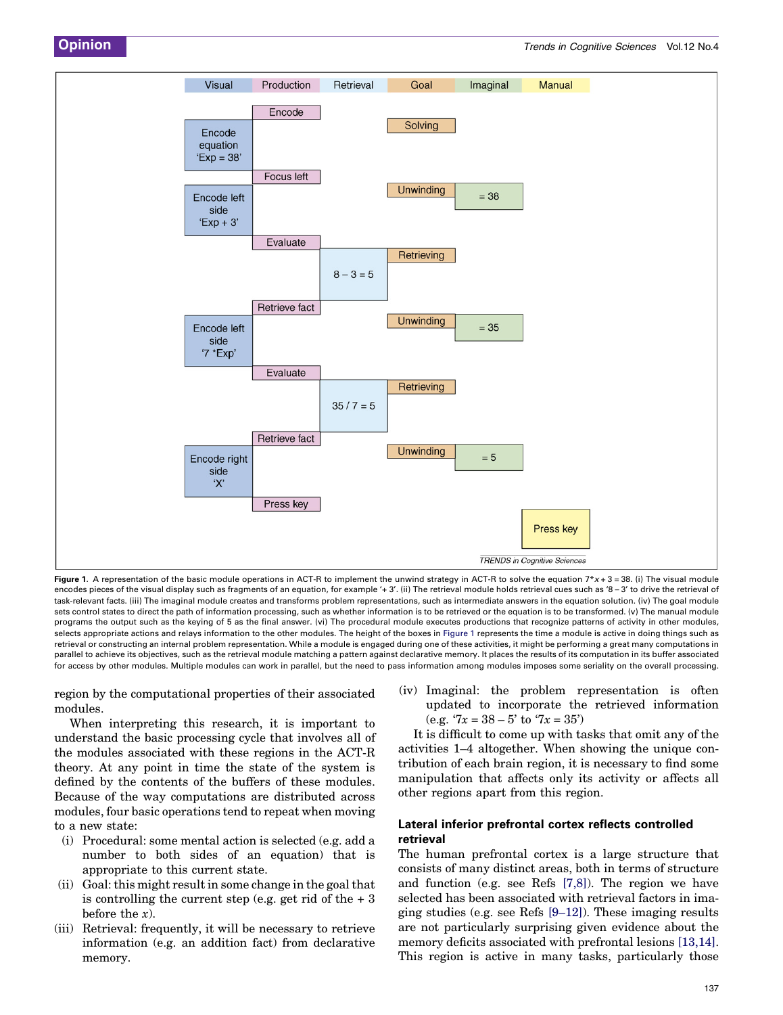<span id="page-1-0"></span>

Figure 1. A representation of the basic module operations in ACT-R to implement the unwind strategy in ACT-R to solve the equation  $7*x + 3 = 38$ . (i) The visual module encodes pieces of the visual display such as fragments of an equation, for example '+ 3'. (ii) The retrieval module holds retrieval cues such as '8 – 3' to drive the retrieval of task-relevant facts. (iii) The imaginal module creates and transforms problem representations, such as intermediate answers in the equation solution. (iv) The goal module sets control states to direct the path of information processing, such as whether information is to be retrieved or the equation is to be transformed. (v) The manual module programs the output such as the keying of 5 as the final answer. (vi) The procedural module executes productions that recognize patterns of activity in other modules, selects appropriate actions and relays information to the other modules. The height of the boxes in Figure 1 represents the time a module is active in doing things such as retrieval or constructing an internal problem representation. While a module is engaged during one of these activities, it might be performing a great many computations in parallel to achieve its objectives, such as the retrieval module matching a pattern against declarative memory. It places the results of its computation in its buffer associated for access by other modules. Multiple modules can work in parallel, but the need to pass information among modules imposes some seriality on the overall processing.

region by the computational properties of their associated modules.

When interpreting this research, it is important to understand the basic processing cycle that involves all of the modules associated with these regions in the ACT-R theory. At any point in time the state of the system is defined by the contents of the buffers of these modules. Because of the way computations are distributed across modules, four basic operations tend to repeat when moving to a new state:

- (i) Procedural: some mental action is selected (e.g. add a number to both sides of an equation) that is appropriate to this current state.
- (ii) Goal: this might result in some change in the goal that is controlling the current step (e.g. get rid of the  $+3$ before the  $x$ ).
- (iii) Retrieval: frequently, it will be necessary to retrieve information (e.g. an addition fact) from declarative memory.

(iv) Imaginal: the problem representation is often updated to incorporate the retrieved information (e.g.  $7x = 38 - 5'$  to  $7x = 35'$ )

It is difficult to come up with tasks that omit any of the activities 1–4 altogether. When showing the unique contribution of each brain region, it is necessary to find some manipulation that affects only its activity or affects all other regions apart from this region.

#### Lateral inferior prefrontal cortex reflects controlled retrieval

The human prefrontal cortex is a large structure that consists of many distinct areas, both in terms of structure and function (e.g. see Refs [\[7,8\]](#page-6-0)). The region we have selected has been associated with retrieval factors in imaging studies (e.g. see Refs [\[9–12\]\)](#page-6-0). These imaging results are not particularly surprising given evidence about the memory deficits associated with prefrontal lesions [\[13,14\]](#page-6-0). This region is active in many tasks, particularly those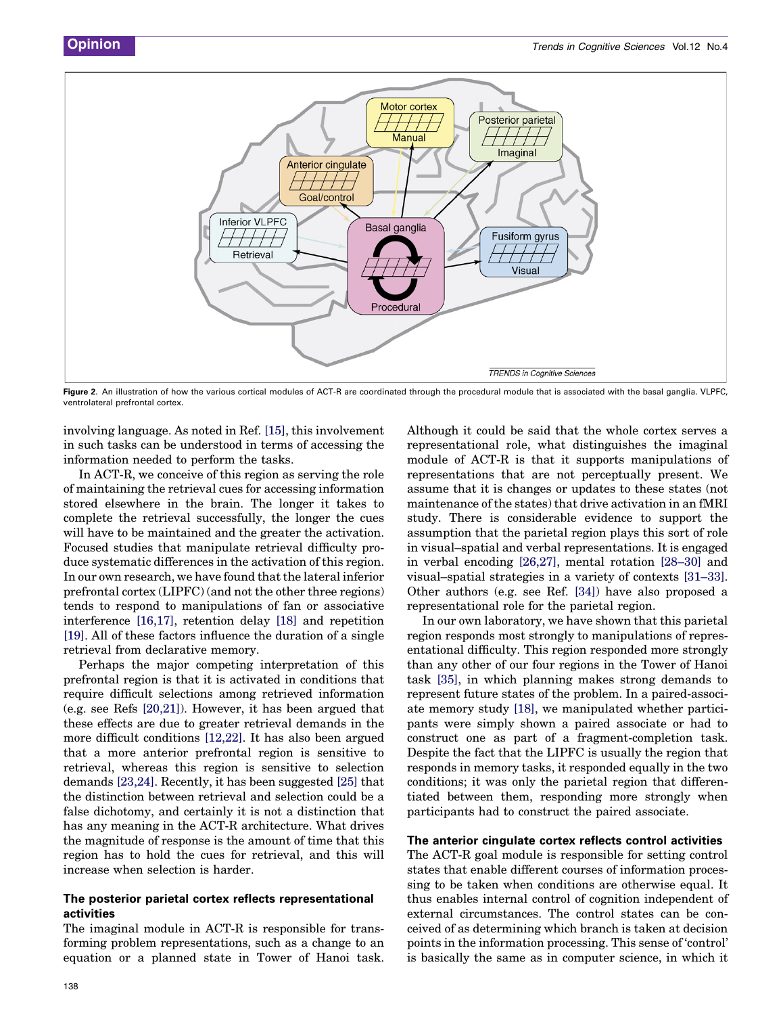<span id="page-2-0"></span>

Figure 2. An illustration of how the various cortical modules of ACT-R are coordinated through the procedural module that is associated with the basal ganglia. VLPFC, ventrolateral prefrontal cortex.

involving language. As noted in Ref. [\[15\]](#page-6-0), this involvement in such tasks can be understood in terms of accessing the information needed to perform the tasks.

In ACT-R, we conceive of this region as serving the role of maintaining the retrieval cues for accessing information stored elsewhere in the brain. The longer it takes to complete the retrieval successfully, the longer the cues will have to be maintained and the greater the activation. Focused studies that manipulate retrieval difficulty produce systematic differences in the activation of this region. In our own research, we have found that the lateral inferior prefrontal cortex (LIPFC) (and not the other three regions) tends to respond to manipulations of fan or associative interference [\[16,17\]](#page-6-0), retention delay [\[18\]](#page-6-0) and repetition [\[19\]](#page-6-0). All of these factors influence the duration of a single retrieval from declarative memory.

Perhaps the major competing interpretation of this prefrontal region is that it is activated in conditions that require difficult selections among retrieved information (e.g. see Refs [\[20,21\]\)](#page-6-0). However, it has been argued that these effects are due to greater retrieval demands in the more difficult conditions [\[12,22\].](#page-6-0) It has also been argued that a more anterior prefrontal region is sensitive to retrieval, whereas this region is sensitive to selection demands [\[23,24\].](#page-6-0) Recently, it has been suggested [\[25\]](#page-6-0) that the distinction between retrieval and selection could be a false dichotomy, and certainly it is not a distinction that has any meaning in the ACT-R architecture. What drives the magnitude of response is the amount of time that this region has to hold the cues for retrieval, and this will increase when selection is harder.

#### The posterior parietal cortex reflects representational activities

The imaginal module in ACT-R is responsible for transforming problem representations, such as a change to an equation or a planned state in Tower of Hanoi task. Although it could be said that the whole cortex serves a representational role, what distinguishes the imaginal module of ACT-R is that it supports manipulations of representations that are not perceptually present. We assume that it is changes or updates to these states (not maintenance of the states) that drive activation in an fMRI study. There is considerable evidence to support the assumption that the parietal region plays this sort of role in visual–spatial and verbal representations. It is engaged in verbal encoding [\[26,27\],](#page-6-0) mental rotation [\[28–30\]](#page-6-0) and visual–spatial strategies in a variety of contexts [\[31–33\]](#page-6-0). Other authors (e.g. see Ref. [\[34\]](#page-6-0)) have also proposed a representational role for the parietal region.

In our own laboratory, we have shown that this parietal region responds most strongly to manipulations of representational difficulty. This region responded more strongly than any other of our four regions in the Tower of Hanoi task [\[35\]](#page-6-0), in which planning makes strong demands to represent future states of the problem. In a paired-associate memory study [\[18\],](#page-6-0) we manipulated whether participants were simply shown a paired associate or had to construct one as part of a fragment-completion task. Despite the fact that the LIPFC is usually the region that responds in memory tasks, it responded equally in the two conditions; it was only the parietal region that differentiated between them, responding more strongly when participants had to construct the paired associate.

#### The anterior cingulate cortex reflects control activities

The ACT-R goal module is responsible for setting control states that enable different courses of information processing to be taken when conditions are otherwise equal. It thus enables internal control of cognition independent of external circumstances. The control states can be conceived of as determining which branch is taken at decision points in the information processing. This sense of 'control' is basically the same as in computer science, in which it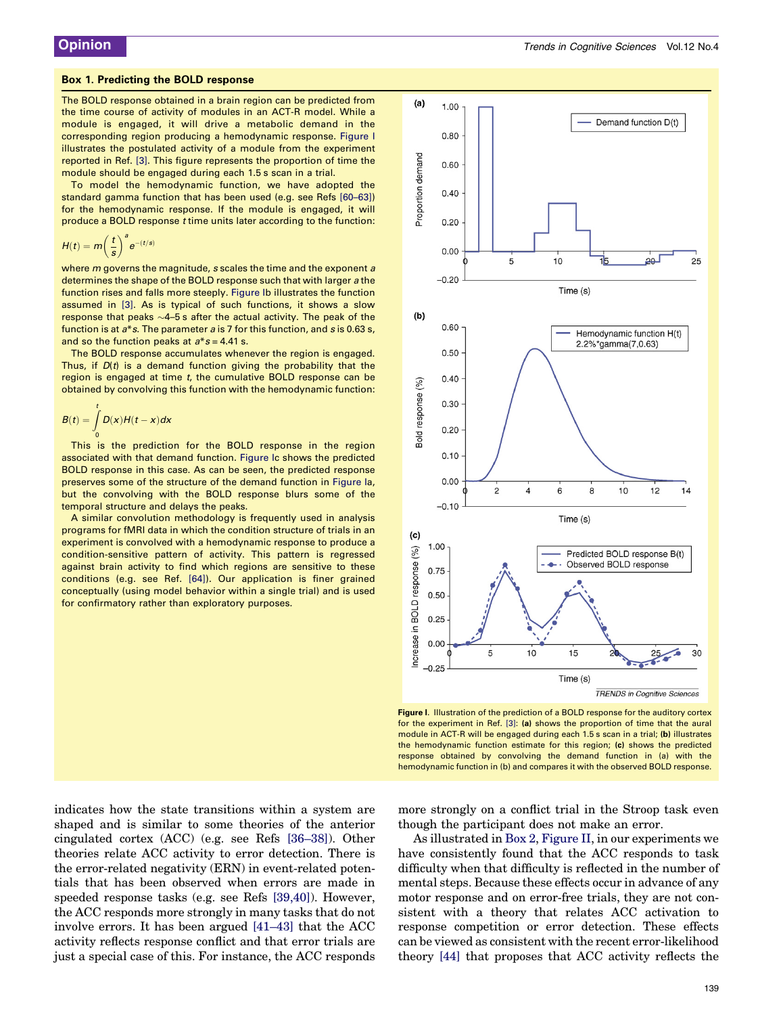#### <span id="page-3-0"></span>Box 1. Predicting the BOLD response

The BOLD response obtained in a brain region can be predicted from the time course of activity of modules in an ACT-R model. While a module is engaged, it will drive a metabolic demand in the corresponding region producing a hemodynamic response. Figure I illustrates the postulated activity of a module from the experiment reported in Ref. [\[3\]](#page-6-0). This figure represents the proportion of time the module should be engaged during each 1.5 s scan in a trial.

To model the hemodynamic function, we have adopted the standard gamma function that has been used (e.g. see Refs [\[60–63\]](#page-7-0)) for the hemodynamic response. If the module is engaged, it will produce a BOLD response t time units later according to the function:

$$
H(t) = m \bigg(\frac{t}{s}\bigg)^a e^{-(t/s)}
$$

where *m* governs the magnitude, *s* scales the time and the exponent *a* determines the shape of the BOLD response such that with larger a the function rises and falls more steeply. Figure Ib illustrates the function assumed in [\[3\]](#page-6-0). As is typical of such functions, it shows a slow response that peaks  $\sim$ 4–5 s after the actual activity. The peak of the function is at  $a^*s$ . The parameter  $a$  is 7 for this function, and  $s$  is 0.63 s, and so the function peaks at  $a * s = 4.41$  s.

The BOLD response accumulates whenever the region is engaged. Thus, if  $D(t)$  is a demand function giving the probability that the region is engaged at time t, the cumulative BOLD response can be obtained by convolving this function with the hemodynamic function:

$$
B(t) = \int_{0}^{t} D(x)H(t-x)dx
$$

This is the prediction for the BOLD response in the region associated with that demand function. Figure Ic shows the predicted BOLD response in this case. As can be seen, the predicted response preserves some of the structure of the demand function in Figure Ia, but the convolving with the BOLD response blurs some of the temporal structure and delays the peaks.

A similar convolution methodology is frequently used in analysis programs for fMRI data in which the condition structure of trials in an experiment is convolved with a hemodynamic response to produce a condition-sensitive pattern of activity. This pattern is regressed against brain activity to find which regions are sensitive to these conditions (e.g. see Ref. [\[64\]\)](#page-7-0). Our application is finer grained conceptually (using model behavior within a single trial) and is used for confirmatory rather than exploratory purposes.



Figure I. Illustration of the prediction of a BOLD response for the auditory cortex for the experiment in Ref. [\[3\]:](#page-6-0) (a) shows the proportion of time that the aural module in ACT-R will be engaged during each 1.5 s scan in a trial; (b) illustrates the hemodynamic function estimate for this region; (c) shows the predicted response obtained by convolving the demand function in (a) with the hemodynamic function in (b) and compares it with the observed BOLD response.

indicates how the state transitions within a system are shaped and is similar to some theories of the anterior cingulated cortex (ACC) (e.g. see Refs [\[36–38\]\)](#page-6-0). Other theories relate ACC activity to error detection. There is the error-related negativity (ERN) in event-related potentials that has been observed when errors are made in speeded response tasks (e.g. see Refs [\[39,40\]\)](#page-6-0). However, the ACC responds more strongly in many tasks that do not involve errors. It has been argued [\[41–43\]](#page-7-0) that the ACC activity reflects response conflict and that error trials are just a special case of this. For instance, the ACC responds more strongly on a conflict trial in the Stroop task even though the participant does not make an error.

As illustrated in [Box 2](#page-4-0), [Figure II,](#page-4-0) in our experiments we have consistently found that the ACC responds to task difficulty when that difficulty is reflected in the number of mental steps. Because these effects occur in advance of any motor response and on error-free trials, they are not consistent with a theory that relates ACC activation to response competition or error detection. These effects can be viewed as consistent with the recent error-likelihood theory [\[44\]](#page-7-0) that proposes that ACC activity reflects the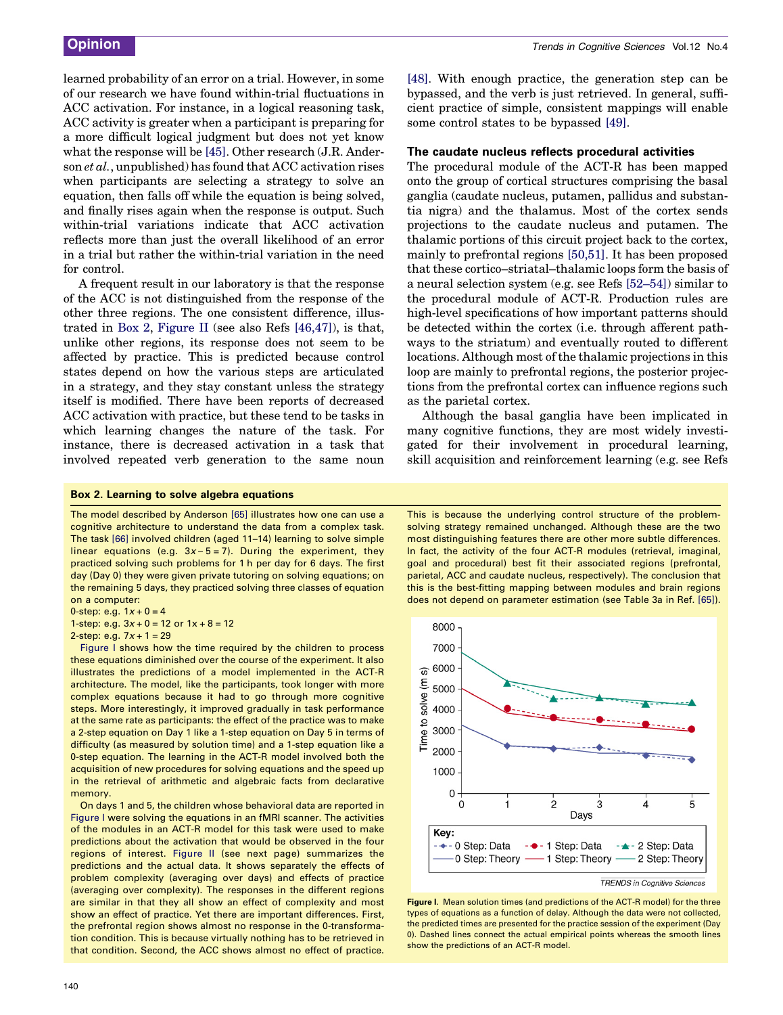<span id="page-4-0"></span>learned probability of an error on a trial. However, in some of our research we have found within-trial fluctuations in ACC activation. For instance, in a logical reasoning task, ACC activity is greater when a participant is preparing for a more difficult logical judgment but does not yet know what the response will be [\[45\].](#page-7-0) Other research (J.R. Anderson et al., unpublished) has found that ACC activation rises when participants are selecting a strategy to solve an equation, then falls off while the equation is being solved, and finally rises again when the response is output. Such within-trial variations indicate that ACC activation reflects more than just the overall likelihood of an error in a trial but rather the within-trial variation in the need for control.

A frequent result in our laboratory is that the response of the ACC is not distinguished from the response of the other three regions. The one consistent difference, illustrated in Box 2, Figure II (see also Refs [\[46,47\]\)](#page-7-0), is that, unlike other regions, its response does not seem to be affected by practice. This is predicted because control states depend on how the various steps are articulated in a strategy, and they stay constant unless the strategy itself is modified. There have been reports of decreased ACC activation with practice, but these tend to be tasks in which learning changes the nature of the task. For instance, there is decreased activation in a task that involved repeated verb generation to the same noun [\[48\]](#page-7-0). With enough practice, the generation step can be bypassed, and the verb is just retrieved. In general, sufficient practice of simple, consistent mappings will enable some control states to be bypassed [\[49\]](#page-7-0).

#### The caudate nucleus reflects procedural activities

The procedural module of the ACT-R has been mapped onto the group of cortical structures comprising the basal ganglia (caudate nucleus, putamen, pallidus and substantia nigra) and the thalamus. Most of the cortex sends projections to the caudate nucleus and putamen. The thalamic portions of this circuit project back to the cortex, mainly to prefrontal regions [\[50,51\].](#page-7-0) It has been proposed that these cortico–striatal–thalamic loops form the basis of a neural selection system (e.g. see Refs [\[52–54\]](#page-7-0)) similar to the procedural module of ACT-R. Production rules are high-level specifications of how important patterns should be detected within the cortex (i.e. through afferent pathways to the striatum) and eventually routed to different locations. Although most of the thalamic projections in this loop are mainly to prefrontal regions, the posterior projections from the prefrontal cortex can influence regions such as the parietal cortex.

Although the basal ganglia have been implicated in many cognitive functions, they are most widely investigated for their involvement in procedural learning, skill acquisition and reinforcement learning (e.g. see Refs

#### Box 2. Learning to solve algebra equations

The model described by Anderson [\[65\]](#page-7-0) illustrates how one can use a cognitive architecture to understand the data from a complex task. The task [\[66\]](#page-7-0) involved children (aged 11–14) learning to solve simple linear equations (e.g.  $3x - 5 = 7$ ). During the experiment, they practiced solving such problems for 1 h per day for 6 days. The first day (Day 0) they were given private tutoring on solving equations; on the remaining 5 days, they practiced solving three classes of equation on a computer:

0-step: e.g.  $1x + 0 = 4$ 

1-step: e.g.  $3x + 0 = 12$  or  $1x + 8 = 12$ 

2-step: e.g.  $7x + 1 = 29$ 

Figure I shows how the time required by the children to process these equations diminished over the course of the experiment. It also illustrates the predictions of a model implemented in the ACT-R architecture. The model, like the participants, took longer with more complex equations because it had to go through more cognitive steps. More interestingly, it improved gradually in task performance at the same rate as participants: the effect of the practice was to make a 2-step equation on Day 1 like a 1-step equation on Day 5 in terms of difficulty (as measured by solution time) and a 1-step equation like a 0-step equation. The learning in the ACT-R model involved both the acquisition of new procedures for solving equations and the speed up in the retrieval of arithmetic and algebraic facts from declarative memory.

On days 1 and 5, the children whose behavioral data are reported in Figure I were solving the equations in an fMRI scanner. The activities of the modules in an ACT-R model for this task were used to make predictions about the activation that would be observed in the four regions of interest. [Figure II](#page-5-0) (see next page) summarizes the predictions and the actual data. It shows separately the effects of problem complexity (averaging over days) and effects of practice (averaging over complexity). The responses in the different regions are similar in that they all show an effect of complexity and most show an effect of practice. Yet there are important differences. First, the prefrontal region shows almost no response in the 0-transformation condition. This is because virtually nothing has to be retrieved in that condition. Second, the ACC shows almost no effect of practice.

This is because the underlying control structure of the problemsolving strategy remained unchanged. Although these are the two most distinguishing features there are other more subtle differences. In fact, the activity of the four ACT-R modules (retrieval, imaginal, goal and procedural) best fit their associated regions (prefrontal, parietal, ACC and caudate nucleus, respectively). The conclusion that this is the best-fitting mapping between modules and brain regions does not depend on parameter estimation (see Table 3a in Ref. [\[65\]](#page-7-0)).



Figure I. Mean solution times (and predictions of the ACT-R model) for the three types of equations as a function of delay. Although the data were not collected, the predicted times are presented for the practice session of the experiment (Day 0). Dashed lines connect the actual empirical points whereas the smooth lines show the predictions of an ACT-R model.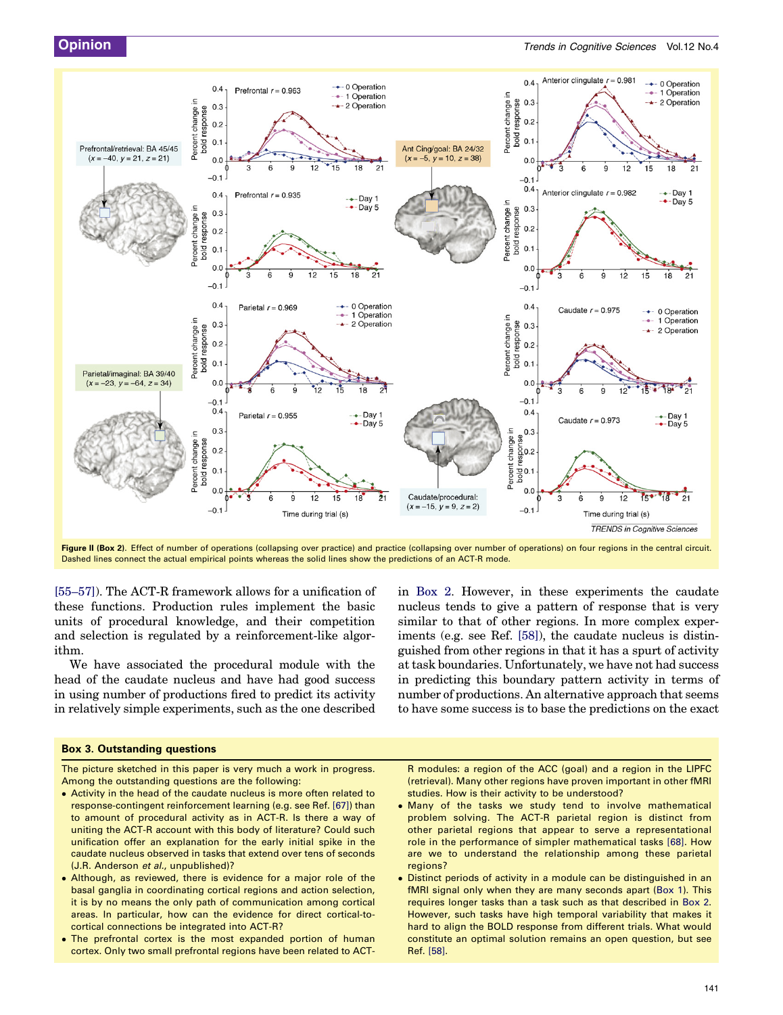<span id="page-5-0"></span>

Figure II (Box 2). Effect of number of operations (collapsing over practice) and practice (collapsing over number of operations) on four regions in the central circuit. Dashed lines connect the actual empirical points whereas the solid lines show the predictions of an ACT-R mode.

[\[55–57\]\)](#page-7-0). The ACT-R framework allows for a unification of these functions. Production rules implement the basic units of procedural knowledge, and their competition and selection is regulated by a reinforcement-like algorithm.

We have associated the procedural module with the head of the caudate nucleus and have had good success in using number of productions fired to predict its activity in relatively simple experiments, such as the one described

#### Box 3. Outstanding questions

The picture sketched in this paper is very much a work in progress. Among the outstanding questions are the following:

- Activity in the head of the caudate nucleus is more often related to response-contingent reinforcement learning (e.g. see Ref. [\[67\]](#page-7-0)) than to amount of procedural activity as in ACT-R. Is there a way of uniting the ACT-R account with this body of literature? Could such unification offer an explanation for the early initial spike in the caudate nucleus observed in tasks that extend over tens of seconds (J.R. Anderson et al., unpublished)?
- Although, as reviewed, there is evidence for a major role of the basal ganglia in coordinating cortical regions and action selection, it is by no means the only path of communication among cortical areas. In particular, how can the evidence for direct cortical-tocortical connections be integrated into ACT-R?
- The prefrontal cortex is the most expanded portion of human cortex. Only two small prefrontal regions have been related to ACT-

in [Box 2](#page-4-0). However, in these experiments the caudate nucleus tends to give a pattern of response that is very similar to that of other regions. In more complex experiments (e.g. see Ref. [\[58\]\)](#page-7-0), the caudate nucleus is distinguished from other regions in that it has a spurt of activity at task boundaries. Unfortunately, we have not had success in predicting this boundary pattern activity in terms of number of productions. An alternative approach that seems to have some success is to base the predictions on the exact

R modules: a region of the ACC (goal) and a region in the LIPFC (retrieval). Many other regions have proven important in other fMRI studies. How is their activity to be understood?

- Many of the tasks we study tend to involve mathematical problem solving. The ACT-R parietal region is distinct from other parietal regions that appear to serve a representational role in the performance of simpler mathematical tasks [\[68\].](#page-7-0) How are we to understand the relationship among these parietal regions?
- Distinct periods of activity in a module can be distinguished in an fMRI signal only when they are many seconds apart ([Box 1](#page-3-0)). This requires longer tasks than a task such as that described in [Box 2.](#page-4-0) However, such tasks have high temporal variability that makes it hard to align the BOLD response from different trials. What would constitute an optimal solution remains an open question, but see Ref. [\[58\]](#page-7-0).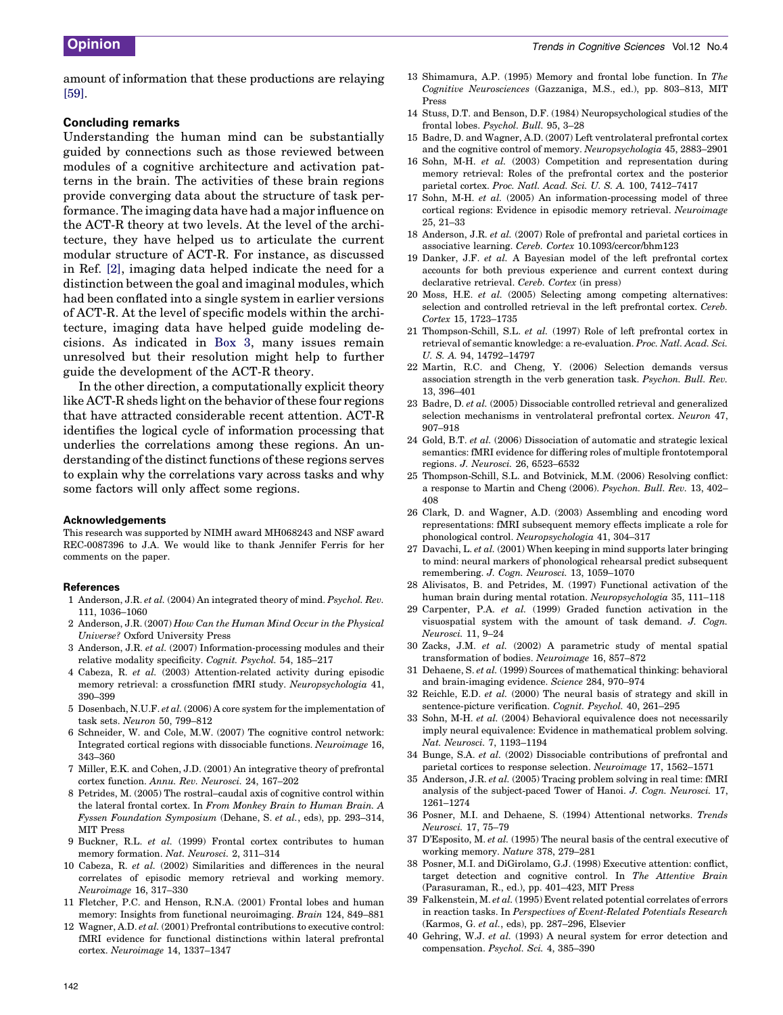<span id="page-6-0"></span>amount of information that these productions are relaying [\[59\].](#page-7-0)

#### Concluding remarks

Understanding the human mind can be substantially guided by connections such as those reviewed between modules of a cognitive architecture and activation patterns in the brain. The activities of these brain regions provide converging data about the structure of task performance. The imaging data have had a major influence on the ACT-R theory at two levels. At the level of the architecture, they have helped us to articulate the current modular structure of ACT-R. For instance, as discussed in Ref. [2], imaging data helped indicate the need for a distinction between the goal and imaginal modules, which had been conflated into a single system in earlier versions of ACT-R. At the level of specific models within the architecture, imaging data have helped guide modeling decisions. As indicated in [Box 3](#page-5-0), many issues remain unresolved but their resolution might help to further guide the development of the ACT-R theory.

In the other direction, a computationally explicit theory like ACT-R sheds light on the behavior of these four regions that have attracted considerable recent attention. ACT-R identifies the logical cycle of information processing that underlies the correlations among these regions. An understanding of the distinct functions of these regions serves to explain why the correlations vary across tasks and why some factors will only affect some regions.

#### Acknowledgements

This research was supported by NIMH award MH068243 and NSF award REC-0087396 to J.A. We would like to thank Jennifer Ferris for her comments on the paper.

#### **References**

- 1 Anderson, J.R. et al. (2004) An integrated theory of mind. Psychol. Rev. 111, 1036–1060
- 2 Anderson, J.R. (2007) How Can the Human Mind Occur in the Physical Universe? Oxford University Press
- 3 Anderson, J.R. et al. (2007) Information-processing modules and their relative modality specificity. Cognit. Psychol. 54, 185–217
- 4 Cabeza, R. et al. (2003) Attention-related activity during episodic memory retrieval: a crossfunction fMRI study. Neuropsychologia 41, 390–399
- 5 Dosenbach, N.U.F. et al. (2006) A core system for the implementation of task sets. Neuron 50, 799–812
- 6 Schneider, W. and Cole, M.W. (2007) The cognitive control network: Integrated cortical regions with dissociable functions. Neuroimage 16, 343–360
- 7 Miller, E.K. and Cohen, J.D. (2001) An integrative theory of prefrontal cortex function. Annu. Rev. Neurosci. 24, 167–202
- 8 Petrides, M. (2005) The rostral–caudal axis of cognitive control within the lateral frontal cortex. In From Monkey Brain to Human Brain. A Fyssen Foundation Symposium (Dehane, S. et al., eds), pp. 293–314, MIT Press
- 9 Buckner, R.L. et al. (1999) Frontal cortex contributes to human memory formation. Nat. Neurosci. 2, 311–314
- 10 Cabeza, R. et al. (2002) Similarities and differences in the neural correlates of episodic memory retrieval and working memory. Neuroimage 16, 317–330
- 11 Fletcher, P.C. and Henson, R.N.A. (2001) Frontal lobes and human memory: Insights from functional neuroimaging. Brain 124, 849–881
- 12 Wagner, A.D. et al. (2001) Prefrontal contributions to executive control: fMRI evidence for functional distinctions within lateral prefrontal cortex. Neuroimage 14, 1337–1347
- 13 Shimamura, A.P. (1995) Memory and frontal lobe function. In The Cognitive Neurosciences (Gazzaniga, M.S., ed.), pp. 803–813, MIT Press
- 14 Stuss, D.T. and Benson, D.F. (1984) Neuropsychological studies of the frontal lobes. Psychol. Bull. 95, 3–28
- 15 Badre, D. and Wagner, A.D. (2007) Left ventrolateral prefrontal cortex and the cognitive control of memory. Neuropsychologia 45, 2883–2901
- 16 Sohn, M-H. et al. (2003) Competition and representation during memory retrieval: Roles of the prefrontal cortex and the posterior parietal cortex. Proc. Natl. Acad. Sci. U. S. A. 100, 7412–7417
- 17 Sohn, M-H. et al. (2005) An information-processing model of three cortical regions: Evidence in episodic memory retrieval. Neuroimage 25, 21–33
- 18 Anderson, J.R. et al. (2007) Role of prefrontal and parietal cortices in associative learning. Cereb. Cortex 10.1093/cercor/bhm123
- 19 Danker, J.F. et al. A Bayesian model of the left prefrontal cortex accounts for both previous experience and current context during declarative retrieval. Cereb. Cortex (in press)
- 20 Moss, H.E. et al. (2005) Selecting among competing alternatives: selection and controlled retrieval in the left prefrontal cortex. Cereb. Cortex 15, 1723–1735
- 21 Thompson-Schill, S.L. et al. (1997) Role of left prefrontal cortex in retrieval of semantic knowledge: a re-evaluation. Proc. Natl. Acad. Sci. U. S. A. 94, 14792–14797
- 22 Martin, R.C. and Cheng, Y. (2006) Selection demands versus association strength in the verb generation task. Psychon. Bull. Rev. 13, 396–401
- 23 Badre, D. et al. (2005) Dissociable controlled retrieval and generalized selection mechanisms in ventrolateral prefrontal cortex. Neuron 47, 907–918
- 24 Gold, B.T. et al. (2006) Dissociation of automatic and strategic lexical semantics: fMRI evidence for differing roles of multiple frontotemporal regions. J. Neurosci. 26, 6523–6532
- 25 Thompson-Schill, S.L. and Botvinick, M.M. (2006) Resolving conflict: a response to Martin and Cheng (2006). Psychon. Bull. Rev. 13, 402– 408
- 26 Clark, D. and Wagner, A.D. (2003) Assembling and encoding word representations: fMRI subsequent memory effects implicate a role for phonological control. Neuropsychologia 41, 304–317
- 27 Davachi, L. et al. (2001) When keeping in mind supports later bringing to mind: neural markers of phonological rehearsal predict subsequent remembering. J. Cogn. Neurosci. 13, 1059–1070
- 28 Alivisatos, B. and Petrides, M. (1997) Functional activation of the human brain during mental rotation. Neuropsychologia 35, 111–118
- 29 Carpenter, P.A. et al. (1999) Graded function activation in the visuospatial system with the amount of task demand. J. Cogn. Neurosci. 11, 9–24
- 30 Zacks, J.M. et al. (2002) A parametric study of mental spatial transformation of bodies. Neuroimage 16, 857–872
- 31 Dehaene, S. et al. (1999) Sources of mathematical thinking: behavioral and brain-imaging evidence. Science 284, 970–974
- 32 Reichle, E.D. et al. (2000) The neural basis of strategy and skill in sentence-picture verification. Cognit. Psychol. 40, 261–295
- 33 Sohn, M-H. et al. (2004) Behavioral equivalence does not necessarily imply neural equivalence: Evidence in mathematical problem solving. Nat. Neurosci. 7, 1193–1194
- 34 Bunge, S.A. et al. (2002) Dissociable contributions of prefrontal and parietal cortices to response selection. Neuroimage 17, 1562–1571
- 35 Anderson, J.R. et al. (2005) Tracing problem solving in real time: fMRI analysis of the subject-paced Tower of Hanoi. J. Cogn. Neurosci. 17, 1261–1274
- 36 Posner, M.I. and Dehaene, S. (1994) Attentional networks. Trends Neurosci. 17, 75–79
- 37 D'Esposito, M. et al. (1995) The neural basis of the central executive of working memory. Nature 378, 279–281
- 38 Posner, M.I. and DiGirolamo, G.J. (1998) Executive attention: conflict, target detection and cognitive control. In The Attentive Brain (Parasuraman, R., ed.), pp. 401–423, MIT Press
- 39 Falkenstein, M. et al. (1995) Event related potential correlates of errors in reaction tasks. In Perspectives of Event-Related Potentials Research (Karmos, G. et al., eds), pp. 287–296, Elsevier
- 40 Gehring, W.J. et al. (1993) A neural system for error detection and compensation. Psychol. Sci. 4, 385–390